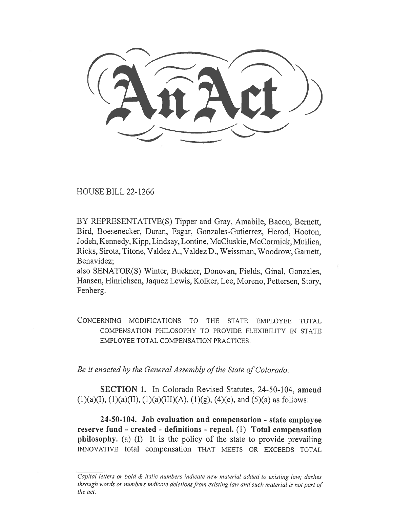HOUSE BILL 22-1266

BY REPRESENTATIVE(S) Tipper and Gray, Amabile, Bacon, Bernett, Bird, Boesenecker, Duran, Esgar, Gonzales-Gutierrez, Herod, Hooton, Jodeh, Kennedy, Kipp, Lindsay, Lontine, McCluskie, McCormick, Mullica, Ricks, Sirota, Titone, Valdez A., Valdez D., Weissman, Woodrow, Garnett, Benavidez;

also SENATOR(S) Winter, Buckner, Donovan, Fields, Ginal, Gonzales, Hansen, Hinrichsen, Jaquez Lewis, Kolker, Lee, Moreno, Pettersen, Story, Fenberg.

CONCERNING MODIFICATIONS TO THE STATE EMPLOYEE TOTAL COMPENSATION PHILOSOPHY TO PROVIDE FLEXIBILITY IN STATE EMPLOYEE TOTAL COMPENSATION PRACTICES.

Be it enacted by the General Assembly of the State of Colorado:

SECTION 1. In Colorado Revised Statutes, 24-50-104, amend  $(1)(a)(I), (1)(a)(II), (1)(a)(III)(A), (1)(g), (4)(c), and (5)(a) as follows:$ 

24-50-104. Job evaluation and compensation - state employee reserve fund - created - definitions - repeal. (1) Total compensation philosophy. (a) (I) It is the policy of the state to provide prevailing INNOVATIVE total compensation THAT MEETS OR EXCEEDS TOTAL

Capital letters or bold & italic numbers indicate new material added to existing law; dashes through words or numbers indicate deletions from existing law and such material is not part of the act.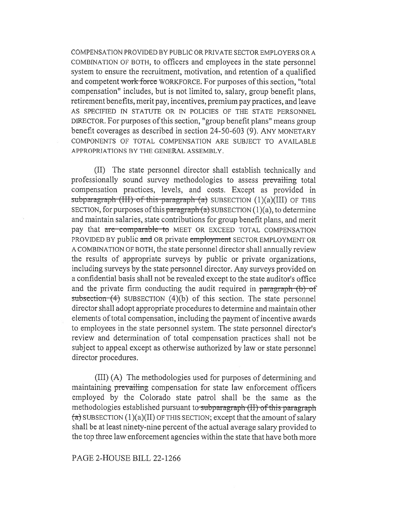COMPENSATION PROVIDED BY PUBLIC OR PRIVATE SECTOR EMPLOYERS OR A COMBINATION OF BOTH, to officers and employees in the state personnel system to ensure the recruitment, motivation, and retention of a qualified and competent work force WORKFORCE. For purposes of this section, "total compensation" includes, but is not limited to, salary, group benefit plans, retirement benefits, merit pay, incentives, premium pay practices, and leave AS SPECIFIED IN STATUTE OR IN POLICIES OF THE STATE PERSONNEL DIRECTOR. For purposes of this section, "group benefit plans" means group benefit coverages as described in section 24-50-603 (9). ANY MONETARY COMPONENTS OF TOTAL COMPENSATION ARE SUBJECT TO AVAILABLE APPROPRIATIONS BY THE GENERAL ASSEMBLY.

(II) The state personnel director shall establish technically and professionally sound survey methodologies to assess prevailing total compensation practices, levels, and costs. Except as provided in subparagraph (III) of this paragraph  $(a)$  SUBSECTION  $(1)(a)(III)$  OF THIS SECTION, for purposes of this paragraph  $(a)$  SUBSECTION  $(1)(a)$ , to determine and maintain salaries, state contributions for group benefit plans, and merit pay that are comparable to MEET OR EXCEED TOTAL COMPENSATION PROVIDED BY public and OR private employment SECTOR EMPLOYMENT OR A COMBINATION OF BOTH, the state personnel director shall annually review the results of appropriate surveys by public or private organizations, including surveys by the state personnel director. Any surveys provided on a confidential basis shall not be revealed except to the state auditor's office and the private firm conducting the audit required in paragraph (b) of subsection  $(4)$  SUBSECTION  $(4)(b)$  of this section. The state personnel director shall adopt appropriate procedures to determine and maintain other elements of total compensation, including the payment of incentive awards to employees in the state personnel system. The state personnel director's review and determination of total compensation practices shall not be subject to appeal except as otherwise authorized by law or state personnel director procedures.

(III) (A) The methodologies used for purposes of determining and maintaining prevailing compensation for state law enforcement officers employed by the Colorado state patrol shall be the same as the methodologies established pursuant to subparagraph (II) of this paragraph  $\overline{a}$ ) SUBSECTION (1)(a)(II) OF THIS SECTION; except that the amount of salary shall be at least ninety-nine percent of the actual average salary provided to the top three law enforcement agencies within the state that have both more

## PAGE 2-HOUSE BILL 22-1266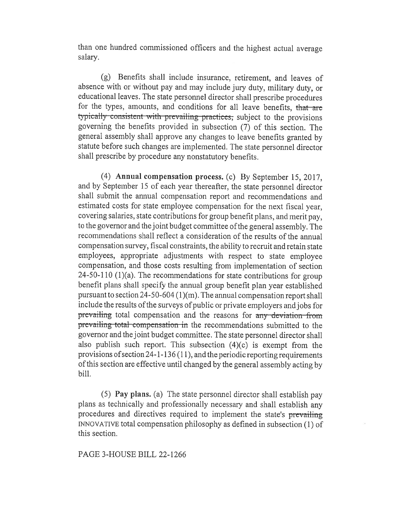than one hundred commissioned officers and the highest actual average salary.

(g) Benefits shall include insurance, retirement, and leaves of absence with or without pay and may include jury duty, military duty, or educational leaves. The state personnel director shall prescribe procedures for the types, amounts, and conditions for all leave benefits, that are typically consistent with prevailing practices; subject to the provisions governing the benefits provided in subsection (7) of this section. The general assembly shall approve any changes to leave benefits granted by statute before such changes are implemented. The state personnel director shall prescribe by procedure any nonstatutory benefits.

(4) Annual compensation process. (c) By September 15, 2017, and by September 15 of each year thereafter, the state personnel director shall submit the annual compensation report and recommendations and estimated costs for state employee compensation for the next fiscal year, covering salaries, state contributions for group benefit plans, and merit pay, to the governor and the joint budget committee of the general assembly. The recommendations shall reflect a consideration of the results of the annual compensation survey, fiscal constraints, the ability to recruit and retain state employees, appropriate adjustments with respect to state employee compensation, and those costs resulting from implementation of section 24-50-110 (1)(a). The recommendations for state contributions for group benefit plans shall specify the annual group benefit plan year established pursuant to section 24-50-604 (1)(m). The annual compensation report shall include the results of the surveys of public or private employers and jobs for prevailing total compensation and the reasons for any deviation from prevailing total compensation in the recommendations submitted to the governor and the joint budget committee. The state personnel director shall also publish such report. This subsection (4)(c) is exempt from the provisions of section 24-1-136 (11), and the periodic reporting requirements of this section are effective until changed by the general assembly acting by bill.

(5) Pay plans. (a) The state personnel director shall establish pay plans as technically and professionally necessary and shall establish any procedures and directives required to implement the state's prevailing INNOVATIVE total compensation philosophy as defined in subsection (1) of this section.

PAGE 3-HOUSE BILL 22-1266